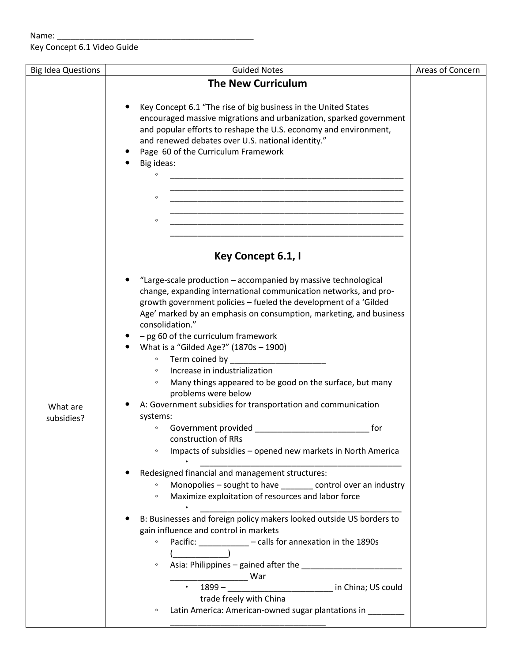Key Concept 6.1 Video Guide

| <b>Big Idea Questions</b> | <b>Guided Notes</b>                                                                                                                    | Areas of Concern |
|---------------------------|----------------------------------------------------------------------------------------------------------------------------------------|------------------|
|                           | <b>The New Curriculum</b>                                                                                                              |                  |
|                           |                                                                                                                                        |                  |
|                           | Key Concept 6.1 "The rise of big business in the United States                                                                         |                  |
|                           | encouraged massive migrations and urbanization, sparked government                                                                     |                  |
|                           | and popular efforts to reshape the U.S. economy and environment,                                                                       |                  |
|                           | and renewed debates over U.S. national identity."                                                                                      |                  |
|                           | Page 60 of the Curriculum Framework                                                                                                    |                  |
|                           | Big ideas:                                                                                                                             |                  |
|                           | $\circ$<br><u> 1989 - Johann John Stone, mars eta biztanleria (h. 1989).</u>                                                           |                  |
|                           |                                                                                                                                        |                  |
|                           | $\circ$                                                                                                                                |                  |
|                           | <u> 1989 - Johann John Stone, Amerikaansk politiker (* 1918)</u>                                                                       |                  |
|                           | $\circ$                                                                                                                                |                  |
|                           |                                                                                                                                        |                  |
|                           |                                                                                                                                        |                  |
|                           | Key Concept 6.1, I                                                                                                                     |                  |
|                           |                                                                                                                                        |                  |
|                           | "Large-scale production - accompanied by massive technological                                                                         |                  |
|                           | change, expanding international communication networks, and pro-                                                                       |                  |
|                           | growth government policies - fueled the development of a 'Gilded<br>Age' marked by an emphasis on consumption, marketing, and business |                  |
|                           | consolidation."                                                                                                                        |                  |
|                           | - pg 60 of the curriculum framework                                                                                                    |                  |
|                           | What is a "Gilded Age?" (1870s - 1900)                                                                                                 |                  |
|                           | Term coined by <b>Exercise 2018</b><br>$\circ$                                                                                         |                  |
|                           | Increase in industrialization                                                                                                          |                  |
|                           | Many things appeared to be good on the surface, but many<br>$\circ$                                                                    |                  |
|                           | problems were below                                                                                                                    |                  |
| What are                  | A: Government subsidies for transportation and communication                                                                           |                  |
| subsidies?                | systems:                                                                                                                               |                  |
|                           | for                                                                                                                                    |                  |
|                           | construction of RRs                                                                                                                    |                  |
|                           | Impacts of subsidies - opened new markets in North America<br>$\circ$                                                                  |                  |
|                           |                                                                                                                                        |                  |
|                           | Redesigned financial and management structures:                                                                                        |                  |
|                           | Monopolies - sought to have ______ control over an industry                                                                            |                  |
|                           | Maximize exploitation of resources and labor force<br>$\circ$                                                                          |                  |
|                           | B: Businesses and foreign policy makers looked outside US borders to                                                                   |                  |
|                           | gain influence and control in markets                                                                                                  |                  |
|                           | Pacific: __________ - calls for annexation in the 1890s<br>$\circ$                                                                     |                  |
|                           |                                                                                                                                        |                  |
|                           | $\circ$                                                                                                                                |                  |
|                           |                                                                                                                                        |                  |
|                           |                                                                                                                                        |                  |
|                           | • 1899 – <u>Campion China</u> in China; US could<br>trade freely with China                                                            |                  |
|                           | Latin America: American-owned sugar plantations in ________<br>$\circ$                                                                 |                  |
|                           |                                                                                                                                        |                  |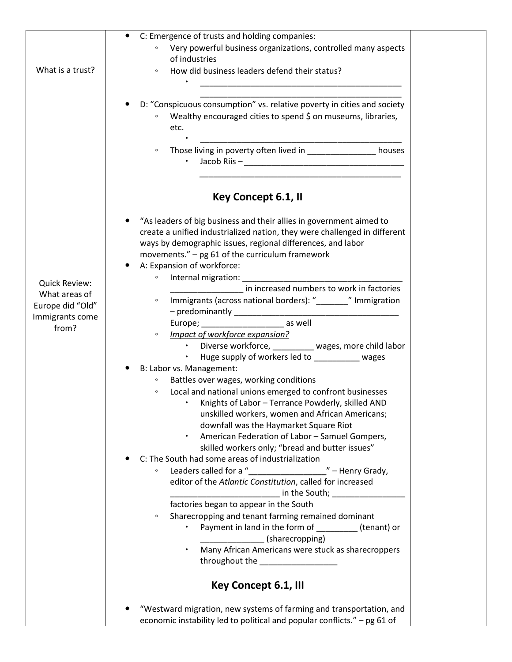|                  | C: Emergence of trusts and holding companies:<br>$\bullet$                |
|------------------|---------------------------------------------------------------------------|
|                  | Very powerful business organizations, controlled many aspects             |
|                  | of industries                                                             |
|                  |                                                                           |
| What is a trust? | How did business leaders defend their status?<br>$\circ$                  |
|                  |                                                                           |
|                  |                                                                           |
|                  |                                                                           |
|                  | D: "Conspicuous consumption" vs. relative poverty in cities and society   |
|                  | Wealthy encouraged cities to spend \$ on museums, libraries,              |
|                  | etc.                                                                      |
|                  |                                                                           |
|                  |                                                                           |
|                  | $\circ$                                                                   |
|                  |                                                                           |
|                  |                                                                           |
|                  |                                                                           |
|                  |                                                                           |
|                  | Key Concept 6.1, II                                                       |
|                  |                                                                           |
|                  | "As leaders of big business and their allies in government aimed to       |
|                  | create a unified industrialized nation, they were challenged in different |
|                  | ways by demographic issues, regional differences, and labor               |
|                  |                                                                           |
|                  | movements." - pg 61 of the curriculum framework                           |
|                  | A: Expansion of workforce:                                                |
|                  | $\circ$                                                                   |
| Quick Review:    | in increased numbers to work in factories                                 |
| What areas of    | $\circ$                                                                   |
| Europe did "Old" |                                                                           |
| Immigrants come  |                                                                           |
| from?            |                                                                           |
|                  | Impact of workforce expansion?<br>$\circ$                                 |
|                  | • Diverse workforce, _________ wages, more child labor                    |
|                  | • Huge supply of workers led to _________ wages                           |
|                  |                                                                           |
|                  | B: Labor vs. Management:                                                  |
|                  | Battles over wages, working conditions<br>$\circ$                         |
|                  | Local and national unions emerged to confront businesses<br>$\circ$       |
|                  | Knights of Labor - Terrance Powderly, skilled AND                         |
|                  | unskilled workers, women and African Americans;                           |
|                  |                                                                           |
|                  | downfall was the Haymarket Square Riot                                    |
|                  | American Federation of Labor - Samuel Gompers,                            |
|                  | skilled workers only; "bread and butter issues"                           |
|                  | C: The South had some areas of industrialization                          |
|                  | Leaders called for a "_______________<br>" - Henry Grady,<br>$\circ$      |
|                  | editor of the Atlantic Constitution, called for increased                 |
|                  |                                                                           |
|                  | in the South; International Contract of the South;                        |
|                  | factories began to appear in the South                                    |
|                  | Sharecropping and tenant farming remained dominant<br>$\circ$             |
|                  | Payment in land in the form of ___________(tenant) or                     |
|                  | (sharecropping)                                                           |
|                  |                                                                           |
|                  | Many African Americans were stuck as sharecroppers                        |
|                  | throughout the the throughout the                                         |
|                  |                                                                           |
|                  | Key Concept 6.1, Ill                                                      |
|                  |                                                                           |
|                  |                                                                           |
|                  | "Westward migration, new systems of farming and transportation, and       |
|                  | economic instability led to political and popular conflicts." - pg 61 of  |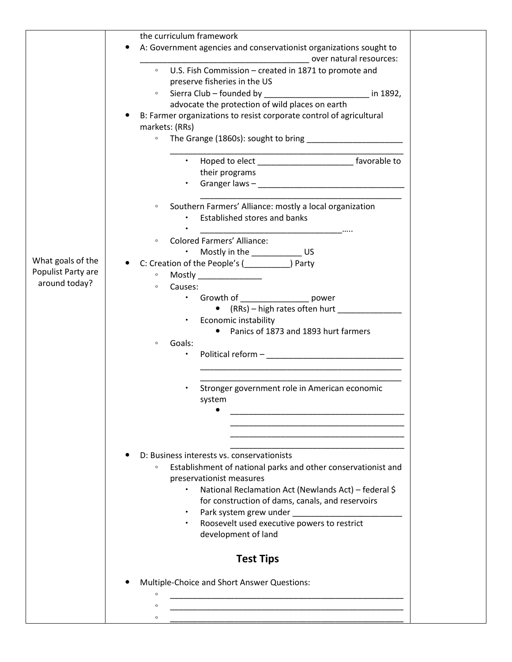|                    | the curriculum framework                                                                                                                                                                                                       |  |
|--------------------|--------------------------------------------------------------------------------------------------------------------------------------------------------------------------------------------------------------------------------|--|
|                    | A: Government agencies and conservationist organizations sought to                                                                                                                                                             |  |
|                    | over natural resources:                                                                                                                                                                                                        |  |
|                    | ○ U.S. Fish Commission – created in 1871 to promote and                                                                                                                                                                        |  |
|                    | preserve fisheries in the US                                                                                                                                                                                                   |  |
|                    | Sierra Club - founded by<br><u>1892, in 1892, in the set of the set of the set of the set of the set of the set of the set of the set of the s</u><br>$\circ$                                                                  |  |
|                    | advocate the protection of wild places on earth                                                                                                                                                                                |  |
|                    | B: Farmer organizations to resist corporate control of agricultural                                                                                                                                                            |  |
|                    |                                                                                                                                                                                                                                |  |
|                    | markets: (RRs)                                                                                                                                                                                                                 |  |
|                    | $\circ$                                                                                                                                                                                                                        |  |
|                    |                                                                                                                                                                                                                                |  |
|                    | • Hoped to elect ________________________________ favorable to                                                                                                                                                                 |  |
|                    | their programs                                                                                                                                                                                                                 |  |
|                    | Granger laws - The Commission of the Commission of the Commission of the Commission of the Commission of the Commission of the Commission of the Commission of the Commission of the Commission of the Commission of the Commi |  |
|                    |                                                                                                                                                                                                                                |  |
|                    | Southern Farmers' Alliance: mostly a local organization<br>$\circ$                                                                                                                                                             |  |
|                    | Established stores and banks                                                                                                                                                                                                   |  |
|                    | and the contract of the contract of the contract of the contract of                                                                                                                                                            |  |
|                    | <b>Colored Farmers' Alliance:</b><br>$\circ$                                                                                                                                                                                   |  |
|                    | Mostly in the ____________________ US                                                                                                                                                                                          |  |
| What goals of the  | C: Creation of the People's (______________) Party                                                                                                                                                                             |  |
| Populist Party are | Mostly ________________<br>$\circ$                                                                                                                                                                                             |  |
| around today?      | Causes:<br>$\circ$                                                                                                                                                                                                             |  |
|                    | • Growth of __________________ power                                                                                                                                                                                           |  |
|                    | • (RRs) – high rates often hurt                                                                                                                                                                                                |  |
|                    | Economic instability<br>$\bullet$                                                                                                                                                                                              |  |
|                    | • Panics of 1873 and 1893 hurt farmers                                                                                                                                                                                         |  |
|                    | Goals:<br>$\circ$                                                                                                                                                                                                              |  |
|                    |                                                                                                                                                                                                                                |  |
|                    |                                                                                                                                                                                                                                |  |
|                    |                                                                                                                                                                                                                                |  |
|                    |                                                                                                                                                                                                                                |  |
|                    | Stronger government role in American economic                                                                                                                                                                                  |  |
|                    | system                                                                                                                                                                                                                         |  |
|                    |                                                                                                                                                                                                                                |  |
|                    |                                                                                                                                                                                                                                |  |
|                    |                                                                                                                                                                                                                                |  |
|                    |                                                                                                                                                                                                                                |  |
|                    | D: Business interests vs. conservationists                                                                                                                                                                                     |  |
|                    | Establishment of national parks and other conservationist and<br>$\circ$                                                                                                                                                       |  |
|                    | preservationist measures                                                                                                                                                                                                       |  |
|                    | National Reclamation Act (Newlands Act) - federal \$                                                                                                                                                                           |  |
|                    | for construction of dams, canals, and reservoirs                                                                                                                                                                               |  |
|                    |                                                                                                                                                                                                                                |  |
|                    | Roosevelt used executive powers to restrict                                                                                                                                                                                    |  |
|                    | development of land                                                                                                                                                                                                            |  |
|                    |                                                                                                                                                                                                                                |  |
|                    | <b>Test Tips</b>                                                                                                                                                                                                               |  |
|                    |                                                                                                                                                                                                                                |  |
|                    |                                                                                                                                                                                                                                |  |
|                    | Multiple-Choice and Short Answer Questions:<br>$\circ$                                                                                                                                                                         |  |
|                    |                                                                                                                                                                                                                                |  |
|                    | $\circ$                                                                                                                                                                                                                        |  |
|                    |                                                                                                                                                                                                                                |  |